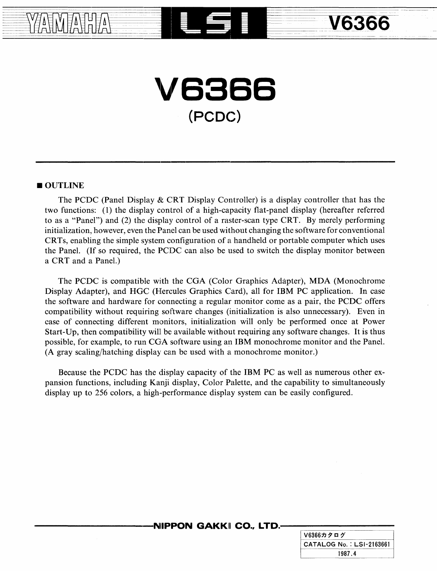# **V6866** (PCDC~)

**YAMAHA LEE V6366** 

=--.

~

### **OUTLINE**

----·-----------

The PCDC (Panel Display & CRT Display Controller) is a display controller that has the two functions: (1) the display control of a high-capacity flat-panel display (hereafter referred to as a "Panel") and (2) the display control of a raster-scan type CRT. By merely performing initialization, however, even the Panel can be used without changing the software for conventional CR Ts, enabling the simple system configuration of a handheld or portable computer which uses the Panel. (If so required, the PCDC can also be used to switch the display monitor between a CRT and a Panel.)

The PCDC is compatible with the CGA (Color Graphics Adapter), MDA (Monochrome Display Adapter), and HGC (Hercules Graphics Card), all for IBM PC application. In case the software and hardware for connecting a regular monitor come as a pair, the PCDC offers compatibility without requiring software changes (initialization is also unnecessary). Even in case of connecting different monitors, initialization will only be performed once at Power Start-Up, then compatibility will be available without requiring any software changes. It is thus possible, for example, to run CGA software using an IBM monochrome monitor and the Panel. (A gray scaling/hatching display can be used with a monochrome monitor.)

Because the PCDC has the display capacity of the IBM PC as well as numerous other expansion functions, including Kanji display, Color Palette, and the capability to simultaneously display up to 256 colors, a high·-performance display system can be easily configured.

### $\cdot$ **NIPPON GAKKI CO., LTD.-**

| V6366カタログ                |
|--------------------------|
| CATALOG No.: LSI-2163661 |
| 1987.4                   |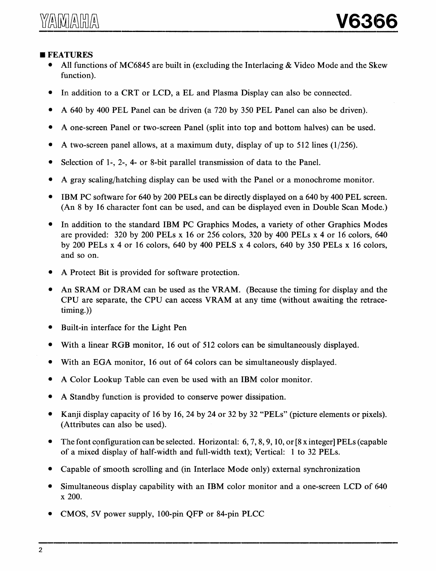## **FEATURES**

- All functions of MC6845 are built in (excluding the Interlacing & Video Mode and the Skew function).
- In addition to a CRT or LCD, a EL and Plasma Display can also be connected.
- A 640 by 400 PEL Panel can be driven (a 720 by 350 PEL Panel can also be driven).
- A one-screen Panel or two-screen Panel (split into top and bottom halves) can be used.
- A two-screen panel allows, at a maximum duty, display of up to 512 lines (1/256).
- Selection of 1-, 2-, 4- or 8-bit parallel transmission of data to the Panel.
- A gray scaling/hatching display can be used with the Panel or a monochrome monitor.
- IBM PC software for 640 by 200 PELs can be directly displayed on a 640 by 400 PEL screen. (An 8 by 16 character font can be used, and can be displayed even in Double Scan Mode.)
- In addition to the standard IBM PC Graphics Modes, a variety of other Graphics Modes are provided: 320 by 200 PELs x 16 or 256 colors, 320 by 400 PELs x 4 or 16 colors, 640 by 200 PELs x 4 or 16 colors, 640 by 400 PELS x 4 colors, 640 by 350 PELs x 16 colors, and so on.
- A Protect Bit is provided for software protection.
- An SRAM or DRAM can be used as the VRAM. (Because the timing for display and the CPU are separate, the CPU can access VRAM at any time (without awaiting the retracetiming.))
- Built-in interface for the Light Pen
- With a linear RGB monitor, 16 out of 512 colors can be simultaneously displayed.
- With an EGA monitor, 16 out of 64 colors can be simultaneously displayed.
- A Color Lookup Table can even be used with an IBM color monitor.
- A Standby function is provided to conserve power dissipation.
- Kanji display capacity of 16 by 16, 24 by 24 or 32 by 32 "PELs" (picture elements or pixels). (Attributes can also be used).
- The font configuration can be selected. Horizontal: 6, 7, 8, 9, 10, or  $[8 \times \text{integer}]$  PELs (capable of a mixed display of half-width and full-width text); Vertical: 1 to 32 PELs.
- Capable of smooth scrolling and (in Interlace Mode only) external synchronization
- Simultaneous display capability with an IBM color monitor and a one-screen LCD of 640 x 200.
- CMOS, 5V power supply, 100-pin QFP or 84-pin PLCC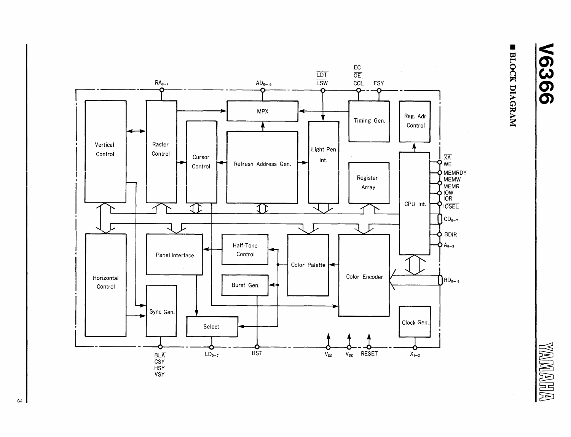BLOCK DIAGRAM

**V6366** 

**WAMARIA** 



 $\omega$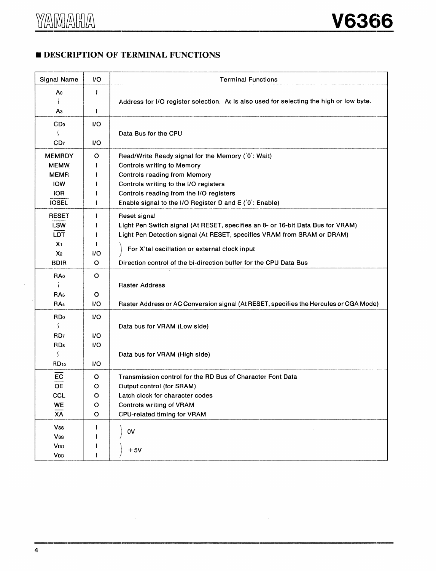## **E DESCRIPTION OF TERMINAL FUNCTIONS**

| <b>Signal Name</b>       | I/O          | <b>Terminal Functions</b>                                                               |
|--------------------------|--------------|-----------------------------------------------------------------------------------------|
| A٥                       | Ŧ            |                                                                                         |
| $\overline{\phantom{a}}$ |              | Address for I/O register selection. Ao is also used for selecting the high or low byte. |
| Αз                       | ł            |                                                                                         |
| CD <sub>0</sub>          | 1/O          |                                                                                         |
|                          |              | Data Bus for the CPU                                                                    |
| CD <sub>7</sub>          | 1/O          |                                                                                         |
| <b>MEMRDY</b>            | $\circ$      | Read/Write Ready signal for the Memory ('0': Wait)                                      |
| <b>MEMW</b>              | ÷            | <b>Controls writing to Memory</b>                                                       |
| <b>MEMR</b>              | H            | Controls reading from Memory                                                            |
| <b>IOW</b>               | ł            | Controls writing to the I/O registers                                                   |
| <b>IOR</b>               |              | Controls reading from the I/O registers                                                 |
| <b>IOSEL</b>             | $\mathbf{I}$ | Enable signal to the I/O Register D and E (0: Enable)                                   |
| <b>RESET</b>             | $\mathbf{I}$ | Reset signal                                                                            |
| <b>LSW</b>               |              | Light Pen Switch signal (At RESET, specifies an 8- or 16-bit Data Bus for VRAM)         |
| <b>LDT</b>               | Ш            | Light Pen Detection signal (At RESET, specifies VRAM from SRAM or DRAM)                 |
| X <sub>1</sub>           | Ш            |                                                                                         |
| X <sub>2</sub>           | 1/O          | For X'tal oscillation or external clock input                                           |
| <b>BDIR</b>              | O            | Direction control of the bi-direction buffer for the CPU Data Bus                       |
| <b>RA</b> o              | O            |                                                                                         |
|                          |              | <b>Raster Address</b>                                                                   |
| RA <sub>3</sub>          | O            |                                                                                         |
| RA4                      | 1/O          | Raster Address or AC Conversion signal (At RESET, specifies the Hercules or CGA Mode)   |
| <b>RDo</b>               | VO.          |                                                                                         |
| ſ                        |              | Data bus for VRAM (Low side)                                                            |
| RD <sub>7</sub>          | 1/O          |                                                                                         |
| RD8                      | 1/O          |                                                                                         |
| $\mathcal{L}$            |              | Data bus for VRAM (High side)                                                           |
| RD <sub>15</sub>         | 1/O          |                                                                                         |
| EC                       | o            | Transmission control for the RD Bus of Character Font Data                              |
| <b>OE</b>                | о            | Output control (for SRAM)                                                               |
| CCL                      | O            | Latch clock for character codes                                                         |
| WE                       | O            | Controls writing of VRAM                                                                |
| $\overline{XA}$          | Ō            | CPU-related timing for VRAM                                                             |
| <b>Vss</b>               | L            |                                                                                         |
| Vss                      |              | 0V                                                                                      |
| VDD                      |              |                                                                                         |
| VDD                      |              | $+5V$                                                                                   |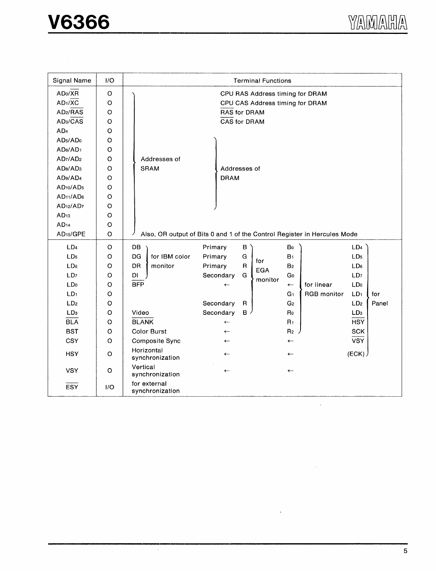$\frac{1}{2}$ 

| Signal Name                       | 1/O     | <b>Terminal Functions</b>       |                                                                          |  |  |  |
|-----------------------------------|---------|---------------------------------|--------------------------------------------------------------------------|--|--|--|
| AD <sub>0</sub> /XR               | O       | CPU RAS Address timing for DRAM |                                                                          |  |  |  |
| AD1/XC                            | $\circ$ | CPU CAS Address timing for DRAM |                                                                          |  |  |  |
| AD2/RAS                           | $\circ$ | <b>RAS for DRAM</b>             |                                                                          |  |  |  |
| AD <sub>3</sub> /CAS              | $\circ$ | <b>CAS for DRAM</b>             |                                                                          |  |  |  |
| AD <sub>4</sub>                   | $\circ$ |                                 |                                                                          |  |  |  |
| AD <sub>5</sub> /AD <sub>0</sub>  | $\circ$ |                                 |                                                                          |  |  |  |
| AD6/AD1                           | o       |                                 |                                                                          |  |  |  |
| AD7/AD2                           | O       | Addresses of                    |                                                                          |  |  |  |
| AD <sub>8</sub> /AD <sub>3</sub>  | O       | SRAM                            | Addresses of                                                             |  |  |  |
| AD <sub>9</sub> /AD <sub>4</sub>  | O       |                                 | <b>DRAM</b>                                                              |  |  |  |
| AD <sub>10</sub> /AD <sub>5</sub> | $\circ$ |                                 |                                                                          |  |  |  |
| AD <sub>11</sub> /AD <sub>6</sub> | $\circ$ |                                 |                                                                          |  |  |  |
| AD <sub>12</sub> /AD <sub>7</sub> | O       |                                 |                                                                          |  |  |  |
| AD <sub>13</sub>                  | O       |                                 |                                                                          |  |  |  |
| AD <sub>14</sub>                  | $\circ$ |                                 |                                                                          |  |  |  |
| AD <sub>15</sub> /GPE             | $\circ$ |                                 | Also, OR output of Bits 0 and 1 of the Control Register in Hercules Mode |  |  |  |
| LD <sub>4</sub>                   | O       | DB                              | Primary<br>В<br>Bo<br>LD4                                                |  |  |  |
| LD <sub>5</sub>                   | O       | for IBM color<br>DG             | G<br>LD <sub>5</sub><br>Primary<br>B <sub>1</sub>                        |  |  |  |
| LD <sub>6</sub>                   | $\circ$ | <b>DR</b><br>monitor            | for<br>$\mathsf R$<br>Primary<br>B <sub>2</sub><br>LD <sub>6</sub>       |  |  |  |
| LD <sub>7</sub>                   | $\circ$ | DI                              | <b>EGA</b><br>G<br>Go<br>LD <sub>7</sub><br>Secondary                    |  |  |  |
| LD <sub>0</sub>                   | $\circ$ | <b>BFP</b>                      | monitor<br>for linear<br>LD <sub>0</sub><br>$\leftarrow$<br>$\leftarrow$ |  |  |  |
| LD <sub>1</sub>                   | O       |                                 | RGB monitor<br>LD <sub>1</sub><br>G <sub>1</sub><br>for                  |  |  |  |
| LD <sub>2</sub>                   | O       |                                 | Secondary<br>LD <sub>2</sub><br>Panel<br>R<br>G <sub>2</sub>             |  |  |  |
| LD <sub>3</sub>                   | O       | Video                           | Secondary<br>в.<br>Ro<br>LD <sub>3</sub>                                 |  |  |  |
| <b>BLA</b>                        | $\circ$ | <b>BLANK</b>                    | <b>HSY</b><br>R <sub>1</sub><br>$\leftarrow$                             |  |  |  |
| <b>BST</b>                        | $\circ$ | <b>Color Burst</b>              | R <sub>2</sub><br><b>SCK</b><br>$\leftarrow$                             |  |  |  |
| CSY                               | $\circ$ | Composite Sync                  | <b>VSY</b><br>$\leftarrow$<br>$\leftarrow$                               |  |  |  |
| <b>HSY</b>                        | $\circ$ | Horizontal<br>synchronization   | (ECK)<br>$\leftarrow$<br>$\leftarrow$                                    |  |  |  |
| <b>VSY</b>                        | $\circ$ | Vertical<br>synchronization     | $\leftarrow$<br>$\leftarrow$                                             |  |  |  |
| <b>ESY</b>                        | 1/O     | for external<br>synchronization |                                                                          |  |  |  |

 $\sim$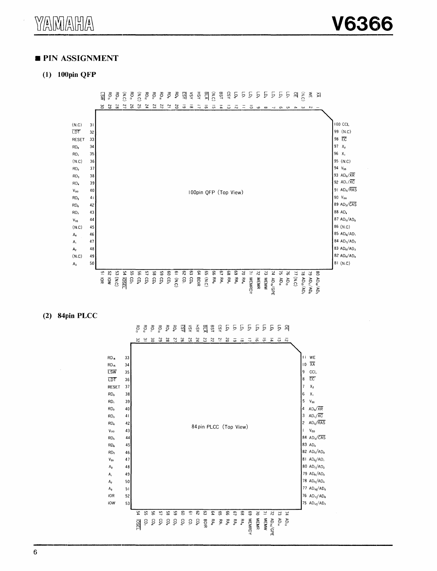#### **PIN ASSIGNMENT**

#### $(1)$  100pin QFP



#### $(2)$  84pin PLCC

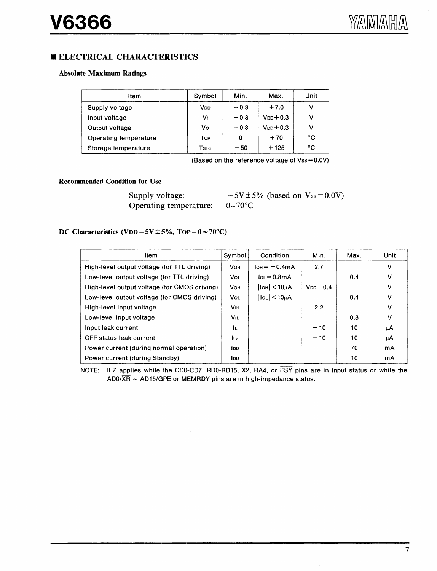### **ELECTRICAL CHARACTERISTICS**

#### Absolute Maximum Ratings

| ltem                  | Symbol                | Min.   | Max.           | Unit |
|-----------------------|-----------------------|--------|----------------|------|
| Supply voltage        | <b>V<sub>DD</sub></b> | $-0.3$ | $+7.0$         | v    |
| Input voltage         | V١                    | $-0.3$ | $V_{DD}$ + 0.3 | v    |
| Output voltage        | Vo                    | $-0.3$ | $V_{DD}$ + 0.3 | v    |
| Operating temperature | Top                   | 0      | $+70$          | °C   |
| Storage temperature   | Tsta                  | $-50$  | $+125$         | °C   |

{Based on the reference voltage of Vss = O.OV)

#### Recommended Condition for Use

Supply voltage: Operating temperature:

 $+ 5V \pm 5\%$  (based on Vss = 0.0V)  $0~\sim$  70°C

#### DC Characteristics (VDD =  $5V \pm 5\%$ , TOP =  $0 \sim 70^{\circ}$ C)

| Item                                         | Symbol                | Condition                       | Min.           | Max. | Unit         |
|----------------------------------------------|-----------------------|---------------------------------|----------------|------|--------------|
| High-level output voltage (for TTL driving)  | <b>V</b> он           | $I$ <sub>OH</sub> $=$ $-$ 0.4mA | 2.7            |      | $\mathsf{v}$ |
| Low-level output voltage (for TTL driving)   | <b>Vol</b>            | $I_{OL} = 0.8$ mA               |                | 0.4  | v            |
| High-level output voltage (for CMOS driving) | VoH                   | $ $ lo $H $ < 10 $\mu$ A        | $V_{DD} = 0.4$ |      | v            |
| Low-level output voltage (for CMOS driving)  | <b>Vol</b>            | $ I_{OL}  < 10 \mu A$           |                | 0.4  | v            |
| High-level input voltage                     | <b>V<sub>IH</sub></b> |                                 | 2.2            |      | v            |
| Low-level input voltage                      | VIL                   |                                 |                | 0.8  | v            |
| Input leak current                           | IL.                   |                                 | $-10$          | 10   | μA           |
| OFF status leak current                      | lı.z                  |                                 | $-10$          | 10   | μA           |
| Power current (during normal operation)      | <b>I</b> DD           |                                 |                | 70   | mA           |
| Power current (during Standby)               | lop.                  |                                 |                | 10   | mA           |

NOTE: ILZ applies while the CDO-CD7, RDO-RD15, X2, RA4, or ESY pins are in input status or while the AD0/ $\overline{XR}$  ~ AD15/GPE or MEMRDY pins are in high-impedance status.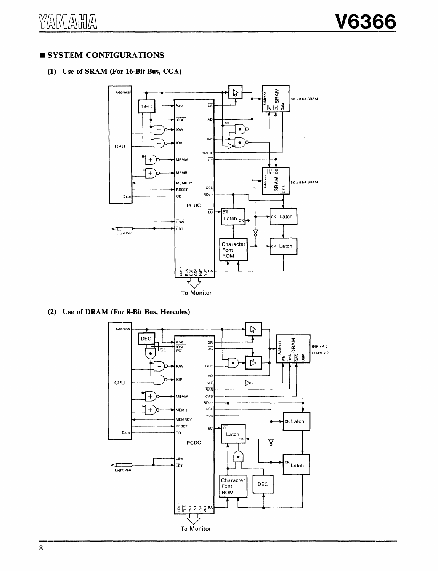## **SYSTEM CONFIGURATIONS**

### (1) Use of SRAM (For 16-Bit Bus, CGA)



(2) Use of DRAM (For 8-Bit Bus, Hercules)

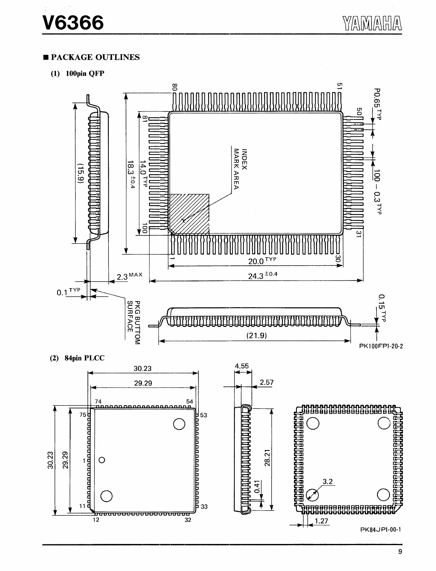## **PACKAGE OUTLINES**

 $(1)$  100pin QFP